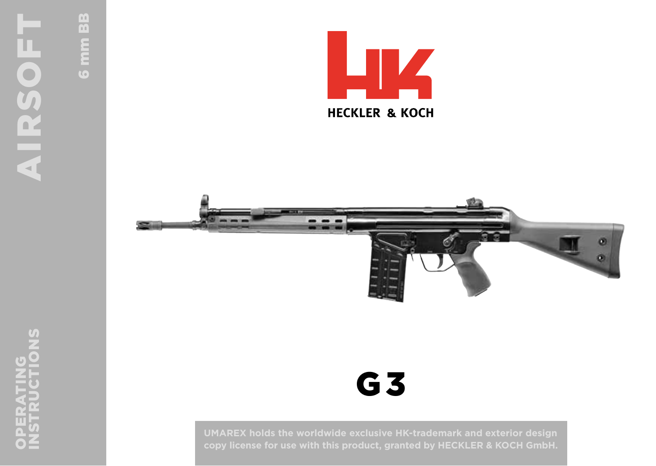# AIRSOFT NIRSOF

6 mm BB





# G3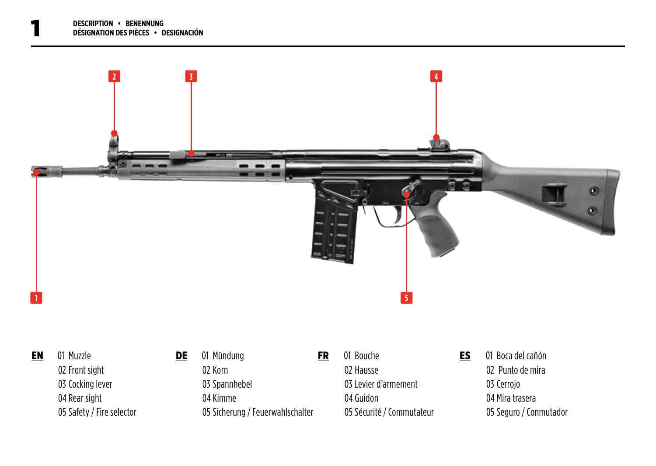

EN 01 Muzzle

 Front sight Cocking lever 04Rear sight Safety / Fire selector

## DE 01 Mündung

 Korn Spannhebel 04Kimme Sicherung / Feuerwahlschalter

FR 01 Bouche

- Hausse Levier d'armement 04 Guidon Sécurité / Commutateur
- 

ES 01 Boca del cañón 02 Punto de mira Cerrojo Mira trasera Seguro / Conmutador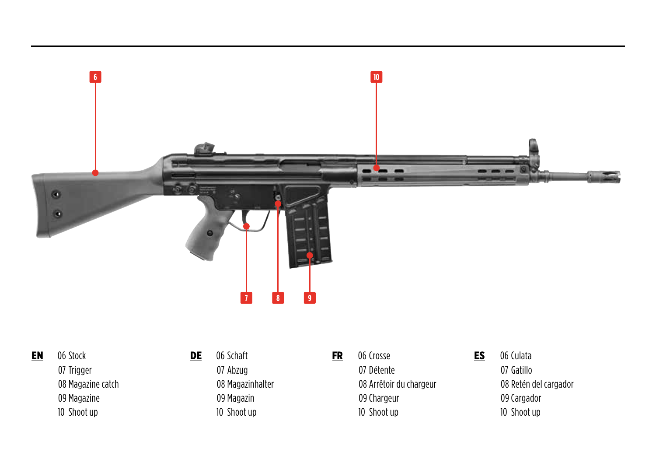

06 Stock Trigger Magazine catch Magazine Shoot up

# DE 06 Schaft

 Abzug Magazinhalter Magazin Shoot up

FR 06 Crosse

 Détente Arrêtoir du chargeur Chargeur Shoot up

ES 06 Culata

 Gatillo Retén del cargador Cargador Shoot up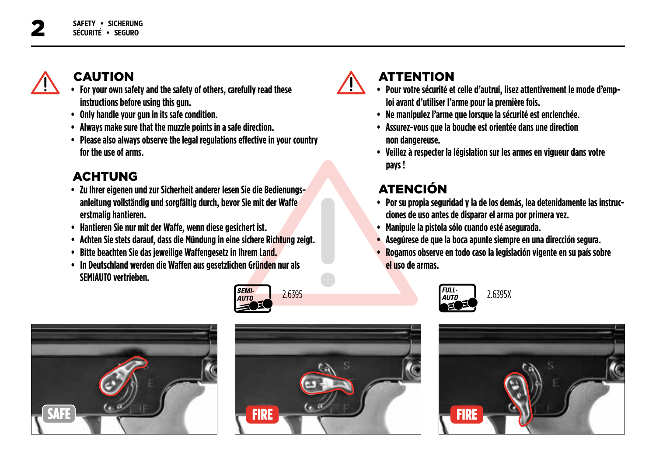

# **CAUTION**

- **• For your own safety and the safety of others, carefully read these instructions before using this gun.**
- **• Only handle your gun in its safe condition.**
- **• Always make sure that the muzzle points in a safe direction.**
- **• Please also always observe the legal regulations effective in your country for the use of arms.**

# ACHTUNG

- **• Zu Ihrer eigenen und zur Sicherheit anderer lesen Sie die Bedienungsanleitung vollständig und sorgfältig durch, bevor Sie mit der Waffe erstmalig hantieren.**
- **• Hantieren Sie nur mit der Waffe, wenn diese gesichert ist.**
- **• Achten Sie stets darauf, dass die Mündung in eine sichere Richtung zeigt.**
- **• Bitte beachten Sie das jeweilige Waffengesetz in Ihrem Land.**
- **• In Deutschland werden die Waffen aus gesetzlichen Gründen nur als SEMIAUTO vertrieben.**



# **ATTENTION**

- **• Pour votre sécurité et celle d'autrui, lisez attentivement le mode d'emploi avant d'utiliser l'arme pour la première fois.**
	- **• Ne manipulez l'arme que lorsque la sécurité est enclenchée.**
	- **• Assurez-vous que la bouche est orientée dans une direction non dangereuse.**
	- **• Veillez à respecter la législation sur les armes en vigueur dans votre pays !**

# ATENCIÓN

- **• Por su propia seguridad y la de los demás, lea detenidamente las instrucciones de uso antes de disparar el arma por primera vez.**
- **• Manipule la pistola sólo cuando esté asegurada.**
- **• Asegúrese de que la boca apunte siempre en una dirección segura.**
- **• Rogamos observe en todo caso la legislación vigente en su país sobre el uso de armas.**







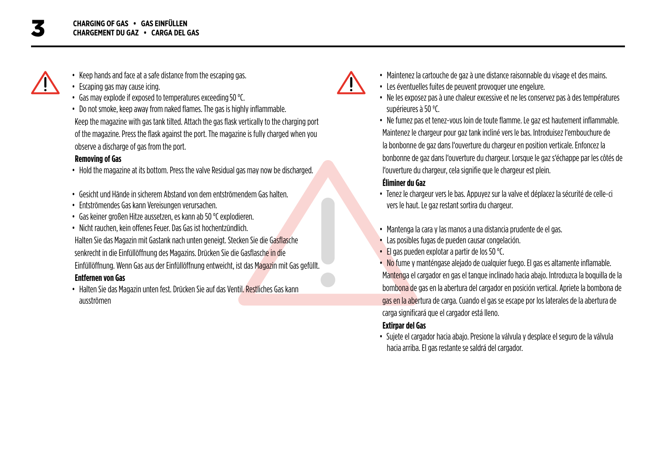- 
- Keep hands and face at a safe distance from the escaping gas.
- Escaping gas may cause icing.
- Gas may explode if exposed to temperatures exceeding 50 °C.
- Do not smoke, keep away from naked flames. The gas is highly inflammable. Keep the magazine with gas tank tilted. Attach the gas flask vertically to the charging port of the magazine. Press the flask against the port. The magazine is fully charged when you observe a discharge of gas from the port.

### **Removing of Gas**

- Hold the magazine at its bottom. Press the valve Residual gas may now be discharged.
- Gesicht und Hände in sicherem Abstand von dem entströmendem Gas halten.
- Entströmendes Gas kann Vereisungen verursachen.
- Gas keiner großen Hitze aussetzen, es kann ab 50 °C explodieren.
- Nicht rauchen, kein offenes Feuer. Das Gas ist hochentzündlich.

Halten Sie das Magazin mit Gastank nach unten geneigt. Stecken Sie die Gasflasche senkrecht in die Einfüllöffnung des Magazins. Drücken Sie die Gasflasche in die Einfüllöffnung. Wenn Gas aus der Einfüllöffnung entweicht, ist das Magazin mit Gas gefüllt.

### **Entfernen von Gas**

• Halten Sie das Magazin unten fest. Drücken Sie auf das Ventil. Restliches Gas kann ausströmen



- Maintenez la cartouche de gaz à une distance raisonnable du visage et des mains.
- Les éventuelles fuites de peuvent provoquer une engelure.
- Ne les exposez pas à une chaleur excessive et ne les conservez pas à des températures supérieures à 50 ºC.
- Ne fumez pas et tenez-vous loin de toute flamme. Le gaz est hautement inflammable. Maintenez le chargeur pour gaz tank incliné vers le bas. Introduisez l'embouchure de la bonbonne de gaz dans l'ouverture du chargeur en position verticale. Enfoncez la bonbonne de gaz dans l'ouverture du chargeur. Lorsque le gaz s'échappe par les côtés de l'ouverture du chargeur, cela signifie que le chargeur est plein.

### **Éliminer du Gaz**

- Tenez le chargeur vers le bas. Appuyez sur la valve et déplacez la sécurité de celle-ci vers le haut. Le gaz restant sortira du chargeur.
- Mantenga la cara y las manos a una distancia prudente de el gas.
- Las posibles fugas de pueden causar congelación.
- El gas pueden explotar a partir de los 50 °C.
- No fume y manténgase alejado de cualquier fuego. El gas es altamente inflamable. Mantenga el cargador en gas el tanque inclinado hacia abajo. Introduzca la boquilla de la bombona de gas en la abertura del cargador en posición vertical. Apriete la bombona de gas en la abertura de carga. Cuando el gas se escape por los laterales de la abertura de carga significará que el cargador está lleno.

# **Extirpar del Gas**

• Sujete el cargador hacia abajo. Presione la válvula y desplace el seguro de la válvula hacia arriba. El gas restante se saldrá del cargador.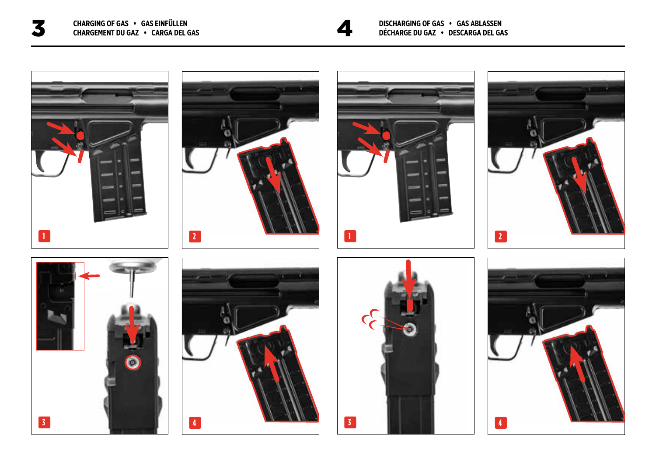

**DISCHARGING OF GAS • GAS ABLASSEN DÉCHARGE DU GAZ • DESCARGA DEL GAS**

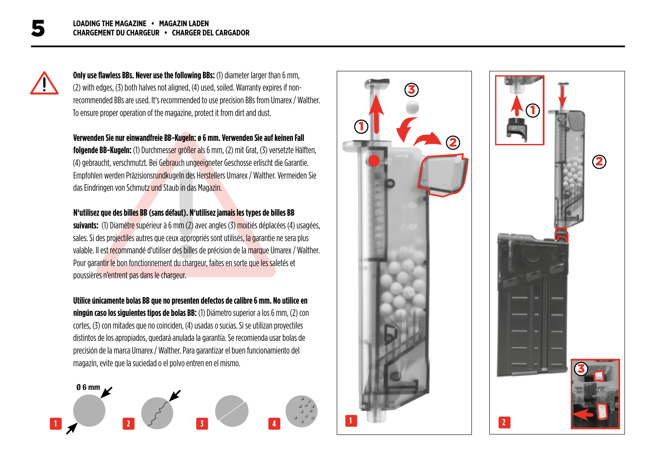

5

**Only use flawless BBs. Never use the following BBs:** (1) diameter larger than 6 mm, (2) with edges, (3) both halves not aligned, (4) used, soiled. Warranty expires if nonrecommended BBs are used. It's recommended to use precision BBs from Umarex / Walther. To ensure proper operation of the magazine, protect it from dirt and dust.

**Verwenden Sie nur einwandfreie BB-Kugeln: ø 6 mm. Verwenden Sie auf keinen Fall folgende BB-Kugeln:** (1) Durchmesser größer als 6 mm, (2) mit Grat, (3) versetzte Hälften, (4) gebraucht, verschmutzt. Bei Gebrauch ungeeigneter Geschosse erlischt die Garantie. Empfohlen werden Präzisionsrundkugeln des Herstellers Umarex / Walther. Vermeiden Sie das Eindringen von Schmutz und Staub in das Magazin.

### **N'utilisez que des billes BB (sans défaut). N'utilisez jamais les types de billes BB**

**suivants:** (1) Diamètre supérieur à 6 mm (2) avec angles (3) moitiés déplacées (4) usagées, sales. Si des projectiles autres que ceux appropriés sont utilisés, la garantie ne sera plus valable. Il est recommandé d'utiliser des billes de précision de la marque Umarex / Walther. Pour garantir le bon fonctionnement du chargeur, faites en sorte que les saletés et poussières n'entrent pas dans le chargeur.

**Utilice únicamente bolas BB que no presenten defectos de calibre 6 mm. No utilice en ningún caso los siguientes tipos de bolas BB:** (1) Diámetro superior a los 6 mm, (2) con cortes, (3) con mitades que no coinciden, (4) usadas o sucias. Si se utilizan proyectiles distintos de los apropiados, quedará anulada la garantía. Se recomienda usar bolas de precisión de la marca Umarex / Walther. Para garantizar el buen funcionamiento del magazín, evite que la suciedad o el polvo entren en el mismo.





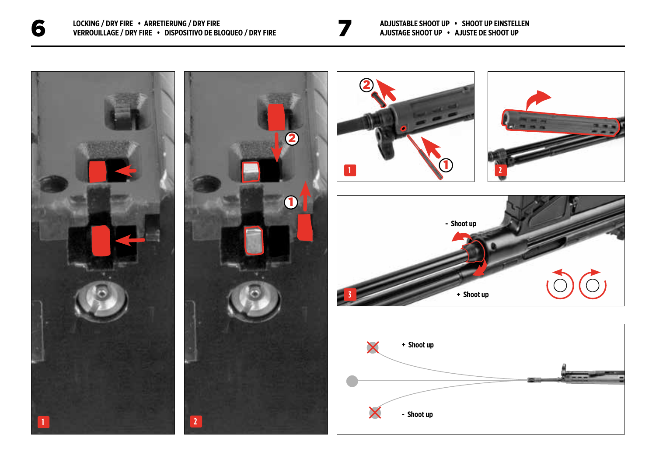**LOCKING / DRY FIRE • ARRETIERUNG / DRY FIRE**<br>VERROUILLAGE / DRY FIRE • DISPOSITIVO DE BLOQUEO / DRY FIRE

**ADJUSTABLE SHOOT UP • SHOOT UP EINSTELLEN**<br>AJUSTAGE SHOOT UP • AJUSTE DE SHOOT UP

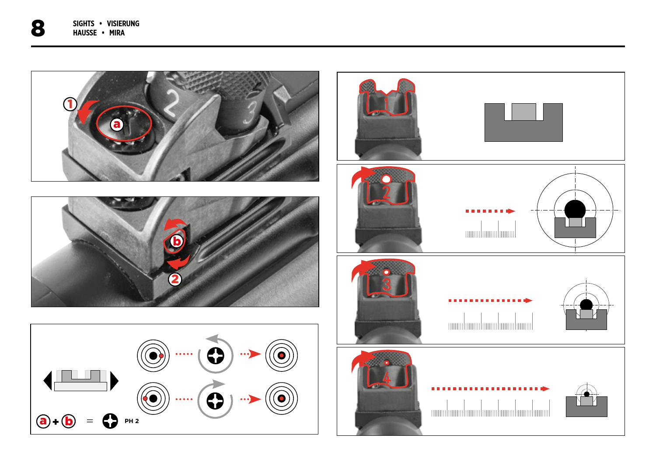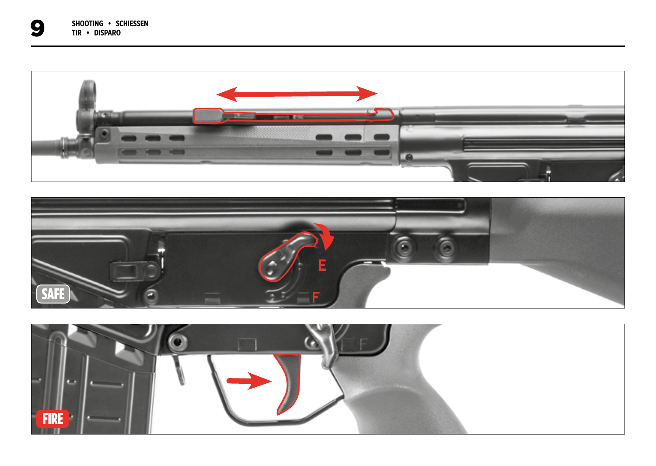



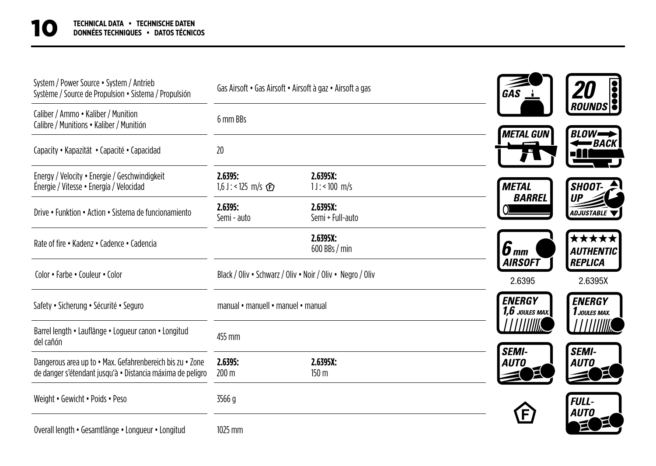| System / Power Source . System / Antrieb<br>Système / Source de Propulsion · Sistema / Propulsión                       |                                                            | Gas Airsoft • Gas Airsoft • Airsoft à gaz • Airsoft a gas | GAS                                |                                       |
|-------------------------------------------------------------------------------------------------------------------------|------------------------------------------------------------|-----------------------------------------------------------|------------------------------------|---------------------------------------|
| Caliber / Ammo . Kaliber / Munition<br>Calibre / Munitions • Kaliber / Munitión                                         | 6 mm BBs                                                   |                                                           |                                    | <i><b>ROUNDS</b></i>                  |
| Capacity • Kapazität • Capacité • Capacidad                                                                             | 20                                                         |                                                           | <b>METAL GUN</b>                   |                                       |
| Energy / Velocity . Energie / Geschwindigkeit<br>Énergie / Vitesse · Energía / Velocidad                                | 2.6395:<br>$1,6$ J: < 125 m/s $@$                          | 2.6395X:<br>$1J:$ < 100 m/s                               | <b>METAL</b>                       | SHOOT-                                |
| Drive . Funktion . Action . Sistema de funcionamiento                                                                   | 2.6395:<br>Semi - auto                                     | 2.6395X:<br>Semi + Full-auto                              | <b>BARREL</b>                      | IJР<br><b>ADJUSTABLE</b>              |
| Rate of fire . Kadenz . Cadence . Cadencia                                                                              |                                                            | 2.6395X:<br>600 BBs / min                                 | 6 mm                               | *****<br><b>AUTHENTIC</b>             |
| Color . Farbe . Couleur . Color                                                                                         | Black / Oliv . Schwarz / Oliv . Noir / Oliv . Negro / Oliv |                                                           | <i><b>AIRSOFT</b></i><br>2.6395    | REPLICA<br>2.6395X                    |
| Safety • Sicherung • Sécurité • Seguro                                                                                  | manual • manuell • manuel • manual                         |                                                           | <b>ENERGY</b><br>$1.6$ JOULES MAX. | <b>ENERGY</b><br><b>1</b> JOULES MAX. |
| Barrel length • Lauflänge • Logueur canon • Longitud<br>del cañón                                                       | 455 mm                                                     |                                                           |                                    |                                       |
| Dangerous area up to . Max. Gefahrenbereich bis zu . Zone<br>de danger s'étendant jusqu'à · Distancia máxima de peligro | 2.6395:<br>200 <sub>m</sub>                                | 2.6395X:<br>150 m                                         | <b>SEMI-</b><br>AUTO               | SEMI-<br>AUTO                         |
| Weight . Gewicht . Poids . Peso                                                                                         | 3566 g                                                     |                                                           | F)                                 | FULL-<br>AIITO                        |
| Overall length · Gesamtlänge · Longueur · Longitud                                                                      | 1025 mm                                                    |                                                           |                                    |                                       |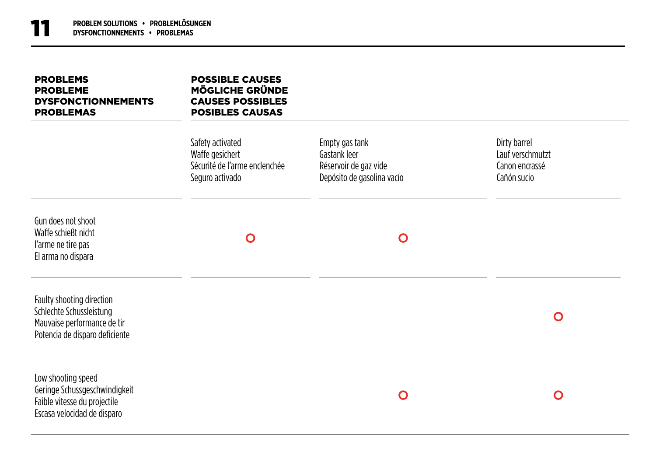| <b>PROBLEMS</b><br><b>PROBLEME</b><br><b>DYSFONCTIONNEMENTS</b><br><b>PROBLEMAS</b>                                    | <b>POSSIBLE CAUSES</b><br><b>MÖGLICHE GRÜNDE</b><br><b>CAUSES POSSIBLES</b><br><b>POSIBLES CAUSAS</b> |                                                                                       |                                                                   |
|------------------------------------------------------------------------------------------------------------------------|-------------------------------------------------------------------------------------------------------|---------------------------------------------------------------------------------------|-------------------------------------------------------------------|
|                                                                                                                        | Safety activated<br>Waffe gesichert<br>Sécurité de l'arme enclenchée<br>Seguro activado               | Empty gas tank<br>Gastank leer<br>Réservoir de gaz vide<br>Depósito de gasolina vacío | Dirty barrel<br>Lauf verschmutzt<br>Canon encrassé<br>Cañón sucio |
| Gun does not shoot<br>Waffe schießt nicht<br>l'arme ne tire pas<br>El arma no dispara                                  | O                                                                                                     | Ο                                                                                     |                                                                   |
| Faulty shooting direction<br>Schlechte Schussleistung<br>Mauvaise performance de tir<br>Potencia de disparo deficiente |                                                                                                       |                                                                                       | Ο                                                                 |
| Low shooting speed<br>Geringe Schussgeschwindigkeit<br>Faible vitesse du projectile<br>Escasa velocidad de disparo     |                                                                                                       | Ο                                                                                     | Ο                                                                 |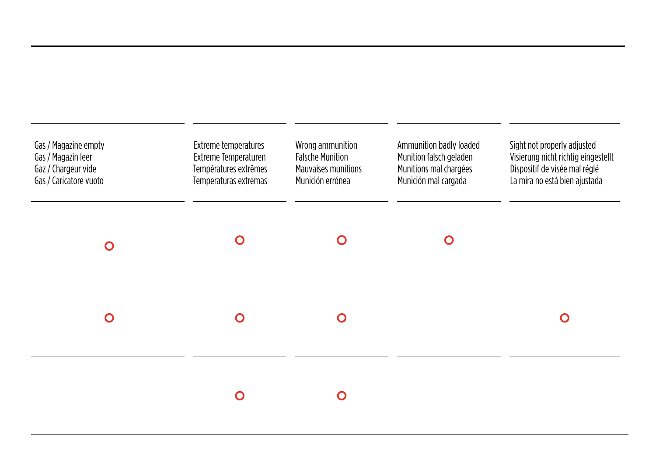| Gas / Magazine empty<br>Gas / Magazin leer<br>Gaz / Chargeur vide<br>Gas / Caricatore vuoto | Extreme temperatures<br>Extreme Temperaturen<br>Températures extrêmes<br>Temperaturas extremas | Wrong ammunition<br><b>Falsche Munition</b><br>Mauvaises munitions<br>Munición errónea | Ammunition badly loaded<br>Munition falsch geladen<br>Munitions mal chargées<br>Munición mal cargada | Sight not properly adjusted<br>Visierung nicht richtig eingestellt<br>Dispositif de visée mal réglé<br>La mira no está bien ajustada |
|---------------------------------------------------------------------------------------------|------------------------------------------------------------------------------------------------|----------------------------------------------------------------------------------------|------------------------------------------------------------------------------------------------------|--------------------------------------------------------------------------------------------------------------------------------------|
| O                                                                                           | n                                                                                              |                                                                                        | റ                                                                                                    |                                                                                                                                      |
| Ο                                                                                           | റ                                                                                              | റ                                                                                      |                                                                                                      | Ω                                                                                                                                    |
|                                                                                             | റ                                                                                              | n                                                                                      |                                                                                                      |                                                                                                                                      |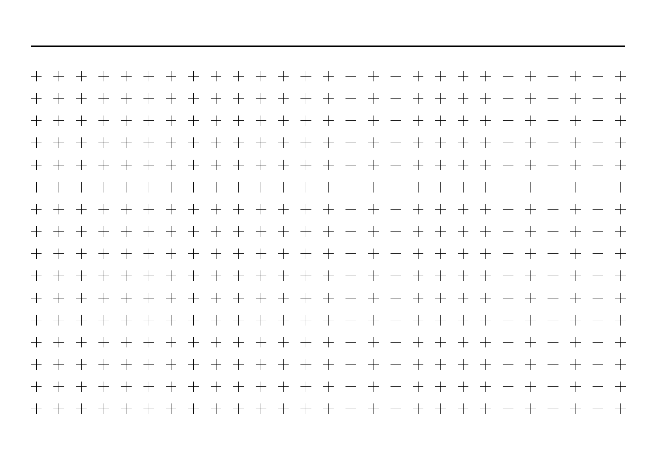$+ +$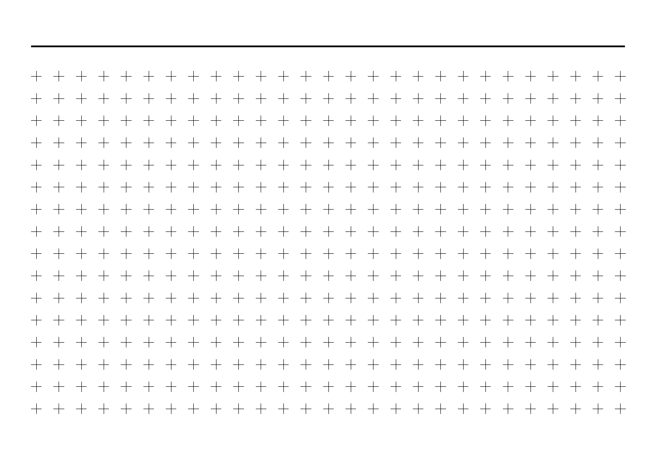$+ +$